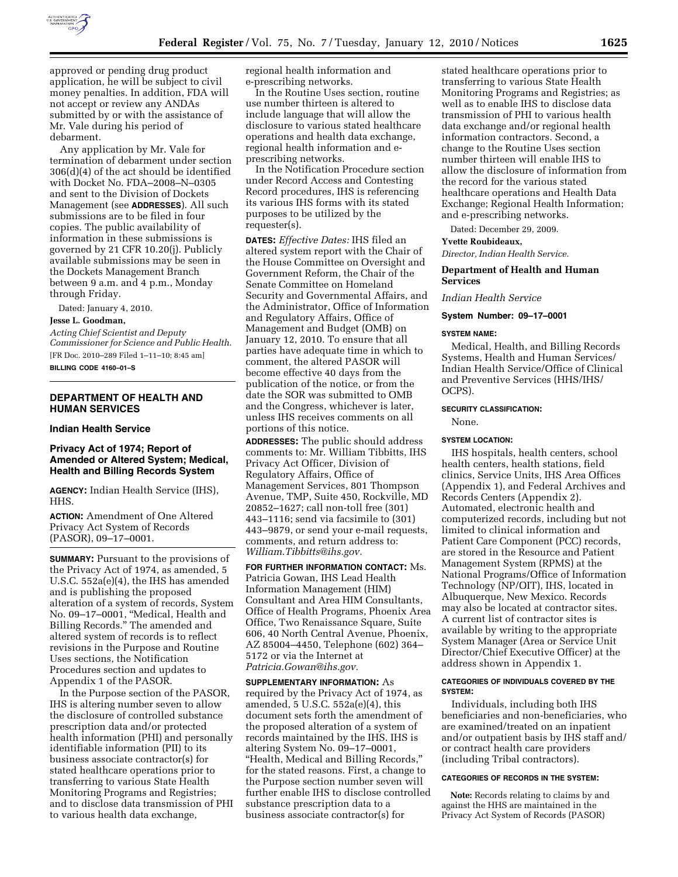

approved or pending drug product application, he will be subject to civil money penalties. In addition, FDA will not accept or review any ANDAs submitted by or with the assistance of Mr. Vale during his period of debarment.

Any application by Mr. Vale for termination of debarment under section 306(d)(4) of the act should be identified with Docket No. FDA–2008–N–0305 and sent to the Division of Dockets Management (see **ADDRESSES**). All such submissions are to be filed in four copies. The public availability of information in these submissions is governed by 21 CFR 10.20(j). Publicly available submissions may be seen in the Dockets Management Branch between 9 a.m. and 4 p.m., Monday through Friday.

Dated: January 4, 2010.

## **Jesse L. Goodman,**

*Acting Chief Scientist and Deputy Commissioner for Science and Public Health.*  [FR Doc. 2010–289 Filed 1–11–10; 8:45 am]

### **BILLING CODE 4160–01–S**

# **DEPARTMENT OF HEALTH AND HUMAN SERVICES**

### **Indian Health Service**

## **Privacy Act of 1974; Report of Amended or Altered System; Medical, Health and Billing Records System**

**AGENCY:** Indian Health Service (IHS), HHS.

**ACTION:** Amendment of One Altered Privacy Act System of Records (PASOR), 09–17–0001.

**SUMMARY:** Pursuant to the provisions of the Privacy Act of 1974, as amended, 5 U.S.C. 552a(e)(4), the IHS has amended and is publishing the proposed alteration of a system of records, System No. 09–17–0001, ''Medical, Health and Billing Records.'' The amended and altered system of records is to reflect revisions in the Purpose and Routine Uses sections, the Notification Procedures section and updates to Appendix 1 of the PASOR.

In the Purpose section of the PASOR, IHS is altering number seven to allow the disclosure of controlled substance prescription data and/or protected health information (PHI) and personally identifiable information (PII) to its business associate contractor(s) for stated healthcare operations prior to transferring to various State Health Monitoring Programs and Registries; and to disclose data transmission of PHI to various health data exchange,

regional health information and e-prescribing networks.

In the Routine Uses section, routine use number thirteen is altered to include language that will allow the disclosure to various stated healthcare operations and health data exchange, regional health information and eprescribing networks.

In the Notification Procedure section under Record Access and Contesting Record procedures, IHS is referencing its various IHS forms with its stated purposes to be utilized by the requester(s).

**DATES:** *Effective Dates:* IHS filed an altered system report with the Chair of the House Committee on Oversight and Government Reform, the Chair of the Senate Committee on Homeland Security and Governmental Affairs, and the Administrator, Office of Information and Regulatory Affairs, Office of Management and Budget (OMB) on January 12, 2010. To ensure that all parties have adequate time in which to comment, the altered PASOR will become effective 40 days from the publication of the notice, or from the date the SOR was submitted to OMB and the Congress, whichever is later, unless IHS receives comments on all portions of this notice.

**ADDRESSES:** The public should address comments to: Mr. William Tibbitts, IHS Privacy Act Officer, Division of Regulatory Affairs, Office of Management Services, 801 Thompson Avenue, TMP, Suite 450, Rockville, MD 20852–1627; call non-toll free (301) 443–1116; send via facsimile to (301) 443–9879, or send your e-mail requests, comments, and return address to: *William.Tibbitts@ihs.gov.* 

**FOR FURTHER INFORMATION CONTACT:** Ms. Patricia Gowan, IHS Lead Health Information Management (HIM) Consultant and Area HIM Consultants, Office of Health Programs, Phoenix Area Office, Two Renaissance Square, Suite 606, 40 North Central Avenue, Phoenix, AZ 85004–4450, Telephone (602) 364– 5172 or via the Internet at *Patricia.Gowan@ihs.gov.* 

**SUPPLEMENTARY INFORMATION:** As required by the Privacy Act of 1974, as amended, 5 U.S.C. 552a(e)(4), this document sets forth the amendment of the proposed alteration of a system of records maintained by the IHS. IHS is altering System No. 09–17–0001, ''Health, Medical and Billing Records,'' for the stated reasons. First, a change to the Purpose section number seven will further enable IHS to disclose controlled substance prescription data to a business associate contractor(s) for

stated healthcare operations prior to transferring to various State Health Monitoring Programs and Registries; as well as to enable IHS to disclose data transmission of PHI to various health data exchange and/or regional health information contractors. Second, a change to the Routine Uses section number thirteen will enable IHS to allow the disclosure of information from the record for the various stated healthcare operations and Health Data Exchange; Regional Health Information; and e-prescribing networks.

Dated: December 29, 2009.

### **Yvette Roubideaux,**

*Director, Indian Health Service.* 

# **Department of Health and Human Services**

*Indian Health Service* 

### **System Number: 09–17–0001**

### **SYSTEM NAME:**

Medical, Health, and Billing Records Systems, Health and Human Services/ Indian Health Service/Office of Clinical and Preventive Services (HHS/IHS/ OCPS).

### **SECURITY CLASSIFICATION:**

None.

#### **SYSTEM LOCATION:**

IHS hospitals, health centers, school health centers, health stations, field clinics, Service Units, IHS Area Offices (Appendix 1), and Federal Archives and Records Centers (Appendix 2). Automated, electronic health and computerized records, including but not limited to clinical information and Patient Care Component (PCC) records, are stored in the Resource and Patient Management System (RPMS) at the National Programs/Office of Information Technology (NP/OIT), IHS, located in Albuquerque, New Mexico. Records may also be located at contractor sites. A current list of contractor sites is available by writing to the appropriate System Manager (Area or Service Unit Director/Chief Executive Officer) at the address shown in Appendix 1.

### **CATEGORIES OF INDIVIDUALS COVERED BY THE SYSTEM:**

Individuals, including both IHS beneficiaries and non-beneficiaries, who are examined/treated on an inpatient and/or outpatient basis by IHS staff and/ or contract health care providers (including Tribal contractors).

## **CATEGORIES OF RECORDS IN THE SYSTEM:**

**Note:** Records relating to claims by and against the HHS are maintained in the Privacy Act System of Records (PASOR)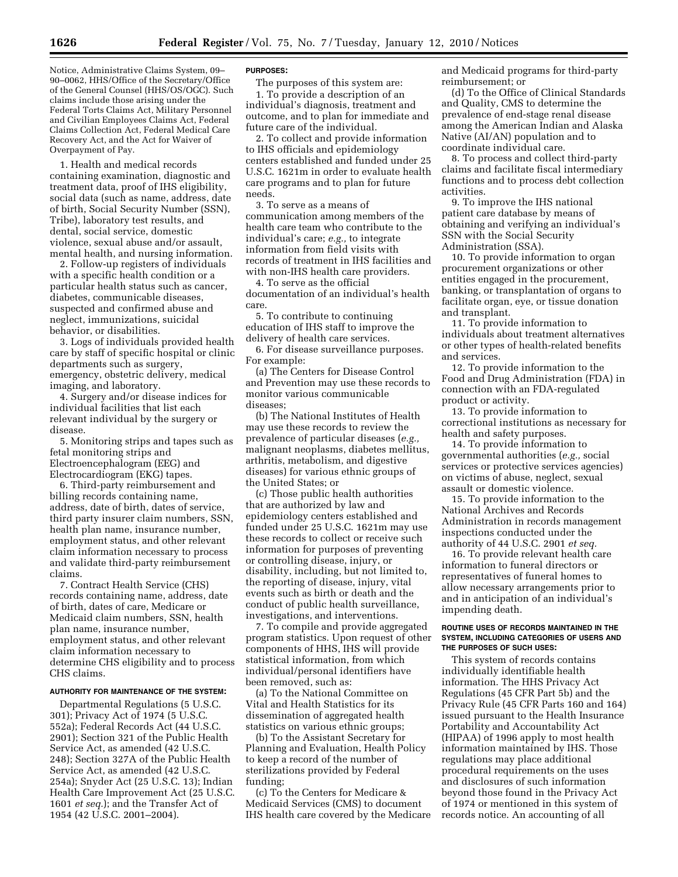Notice, Administrative Claims System, 09– 90–0062, HHS/Office of the Secretary/Office of the General Counsel (HHS/OS/OGC). Such claims include those arising under the Federal Torts Claims Act, Military Personnel and Civilian Employees Claims Act, Federal Claims Collection Act, Federal Medical Care Recovery Act, and the Act for Waiver of Overpayment of Pay.

1. Health and medical records containing examination, diagnostic and treatment data, proof of IHS eligibility, social data (such as name, address, date of birth, Social Security Number (SSN), Tribe), laboratory test results, and dental, social service, domestic violence, sexual abuse and/or assault, mental health, and nursing information.

2. Follow-up registers of individuals with a specific health condition or a particular health status such as cancer, diabetes, communicable diseases, suspected and confirmed abuse and neglect, immunizations, suicidal behavior, or disabilities.

3. Logs of individuals provided health care by staff of specific hospital or clinic departments such as surgery, emergency, obstetric delivery, medical imaging, and laboratory.

4. Surgery and/or disease indices for individual facilities that list each relevant individual by the surgery or disease.

5. Monitoring strips and tapes such as fetal monitoring strips and Electroencephalogram (EEG) and Electrocardiogram (EKG) tapes.

6. Third-party reimbursement and billing records containing name, address, date of birth, dates of service, third party insurer claim numbers, SSN, health plan name, insurance number, employment status, and other relevant claim information necessary to process and validate third-party reimbursement claims.

7. Contract Health Service (CHS) records containing name, address, date of birth, dates of care, Medicare or Medicaid claim numbers, SSN, health plan name, insurance number, employment status, and other relevant claim information necessary to determine CHS eligibility and to process CHS claims.

#### **AUTHORITY FOR MAINTENANCE OF THE SYSTEM:**

Departmental Regulations (5 U.S.C. 301); Privacy Act of 1974 (5 U.S.C. 552a); Federal Records Act (44 U.S.C. 2901); Section 321 of the Public Health Service Act, as amended (42 U.S.C. 248); Section 327A of the Public Health Service Act, as amended (42 U.S.C. 254a); Snyder Act (25 U.S.C. 13); Indian Health Care Improvement Act (25 U.S.C. 1601 *et seq.*); and the Transfer Act of 1954 (42 U.S.C. 2001–2004).

#### **PURPOSES:**

The purposes of this system are:

1. To provide a description of an individual's diagnosis, treatment and outcome, and to plan for immediate and future care of the individual.

2. To collect and provide information to IHS officials and epidemiology centers established and funded under 25 U.S.C. 1621m in order to evaluate health care programs and to plan for future needs.

3. To serve as a means of communication among members of the health care team who contribute to the individual's care; *e.g.,* to integrate information from field visits with records of treatment in IHS facilities and with non-IHS health care providers.

4. To serve as the official documentation of an individual's health care.

5. To contribute to continuing education of IHS staff to improve the delivery of health care services.

6. For disease surveillance purposes. For example:

(a) The Centers for Disease Control and Prevention may use these records to monitor various communicable diseases;

(b) The National Institutes of Health may use these records to review the prevalence of particular diseases (*e.g.,*  malignant neoplasms, diabetes mellitus, arthritis, metabolism, and digestive diseases) for various ethnic groups of the United States; or

(c) Those public health authorities that are authorized by law and epidemiology centers established and funded under 25 U.S.C. 1621m may use these records to collect or receive such information for purposes of preventing or controlling disease, injury, or disability, including, but not limited to, the reporting of disease, injury, vital events such as birth or death and the conduct of public health surveillance, investigations, and interventions.

7. To compile and provide aggregated program statistics. Upon request of other components of HHS, IHS will provide statistical information, from which individual/personal identifiers have been removed, such as:

(a) To the National Committee on Vital and Health Statistics for its dissemination of aggregated health statistics on various ethnic groups;

(b) To the Assistant Secretary for Planning and Evaluation, Health Policy to keep a record of the number of sterilizations provided by Federal funding;

(c) To the Centers for Medicare & Medicaid Services (CMS) to document IHS health care covered by the Medicare and Medicaid programs for third-party reimbursement; or

(d) To the Office of Clinical Standards and Quality, CMS to determine the prevalence of end-stage renal disease among the American Indian and Alaska Native (AI/AN) population and to coordinate individual care.

8. To process and collect third-party claims and facilitate fiscal intermediary functions and to process debt collection activities.

9. To improve the IHS national patient care database by means of obtaining and verifying an individual's SSN with the Social Security Administration (SSA).

10. To provide information to organ procurement organizations or other entities engaged in the procurement, banking, or transplantation of organs to facilitate organ, eye, or tissue donation and transplant.

11. To provide information to individuals about treatment alternatives or other types of health-related benefits and services.

12. To provide information to the Food and Drug Administration (FDA) in connection with an FDA-regulated product or activity.

13. To provide information to correctional institutions as necessary for health and safety purposes.

14. To provide information to governmental authorities (*e.g.,* social services or protective services agencies) on victims of abuse, neglect, sexual assault or domestic violence.

15. To provide information to the National Archives and Records Administration in records management inspections conducted under the authority of 44 U.S.C. 2901 *et seq.* 

16. To provide relevant health care information to funeral directors or representatives of funeral homes to allow necessary arrangements prior to and in anticipation of an individual's impending death.

### **ROUTINE USES OF RECORDS MAINTAINED IN THE SYSTEM, INCLUDING CATEGORIES OF USERS AND THE PURPOSES OF SUCH USES:**

This system of records contains individually identifiable health information. The HHS Privacy Act Regulations (45 CFR Part 5b) and the Privacy Rule (45 CFR Parts 160 and 164) issued pursuant to the Health Insurance Portability and Accountability Act (HIPAA) of 1996 apply to most health information maintained by IHS. Those regulations may place additional procedural requirements on the uses and disclosures of such information beyond those found in the Privacy Act of 1974 or mentioned in this system of records notice. An accounting of all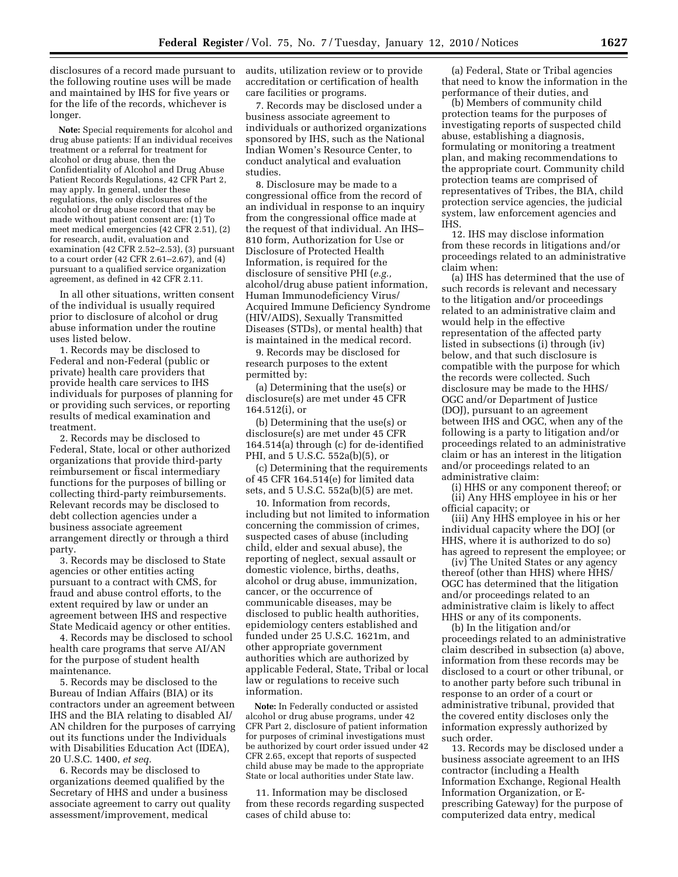disclosures of a record made pursuant to the following routine uses will be made and maintained by IHS for five years or for the life of the records, whichever is longer.

**Note:** Special requirements for alcohol and drug abuse patients: If an individual receives treatment or a referral for treatment for alcohol or drug abuse, then the Confidentiality of Alcohol and Drug Abuse Patient Records Regulations, 42 CFR Part 2, may apply. In general, under these regulations, the only disclosures of the alcohol or drug abuse record that may be made without patient consent are: (1) To meet medical emergencies (42 CFR 2.51), (2) for research, audit, evaluation and examination (42 CFR 2.52–2.53), (3) pursuant to a court order (42 CFR 2.61–2.67), and (4) pursuant to a qualified service organization agreement, as defined in 42 CFR 2.11.

In all other situations, written consent of the individual is usually required prior to disclosure of alcohol or drug abuse information under the routine uses listed below.

1. Records may be disclosed to Federal and non-Federal (public or private) health care providers that provide health care services to IHS individuals for purposes of planning for or providing such services, or reporting results of medical examination and treatment.

2. Records may be disclosed to Federal, State, local or other authorized organizations that provide third-party reimbursement or fiscal intermediary functions for the purposes of billing or collecting third-party reimbursements. Relevant records may be disclosed to debt collection agencies under a business associate agreement arrangement directly or through a third party.

3. Records may be disclosed to State agencies or other entities acting pursuant to a contract with CMS, for fraud and abuse control efforts, to the extent required by law or under an agreement between IHS and respective State Medicaid agency or other entities.

4. Records may be disclosed to school health care programs that serve AI/AN for the purpose of student health maintenance.

5. Records may be disclosed to the Bureau of Indian Affairs (BIA) or its contractors under an agreement between IHS and the BIA relating to disabled AI/ AN children for the purposes of carrying out its functions under the Individuals with Disabilities Education Act (IDEA), 20 U.S.C. 1400, *et seq.* 

6. Records may be disclosed to organizations deemed qualified by the Secretary of HHS and under a business associate agreement to carry out quality assessment/improvement, medical

audits, utilization review or to provide accreditation or certification of health care facilities or programs.

7. Records may be disclosed under a business associate agreement to individuals or authorized organizations sponsored by IHS, such as the National Indian Women's Resource Center, to conduct analytical and evaluation studies.

8. Disclosure may be made to a congressional office from the record of an individual in response to an inquiry from the congressional office made at the request of that individual. An IHS– 810 form, Authorization for Use or Disclosure of Protected Health Information, is required for the disclosure of sensitive PHI (*e.g.,*  alcohol/drug abuse patient information, Human Immunodeficiency Virus/ Acquired Immune Deficiency Syndrome (HIV/AIDS), Sexually Transmitted Diseases (STDs), or mental health) that is maintained in the medical record.

9. Records may be disclosed for research purposes to the extent permitted by:

(a) Determining that the use(s) or disclosure(s) are met under 45 CFR 164.512(i), or

(b) Determining that the use(s) or disclosure(s) are met under 45 CFR 164.514(a) through (c) for de-identified PHI, and 5 U.S.C. 552a(b)(5), or

(c) Determining that the requirements of 45 CFR 164.514(e) for limited data sets, and 5 U.S.C. 552a(b)(5) are met.

10. Information from records, including but not limited to information concerning the commission of crimes, suspected cases of abuse (including child, elder and sexual abuse), the reporting of neglect, sexual assault or domestic violence, births, deaths, alcohol or drug abuse, immunization, cancer, or the occurrence of communicable diseases, may be disclosed to public health authorities, epidemiology centers established and funded under 25 U.S.C. 1621m, and other appropriate government authorities which are authorized by applicable Federal, State, Tribal or local law or regulations to receive such information.

**Note:** In Federally conducted or assisted alcohol or drug abuse programs, under 42 CFR Part 2, disclosure of patient information for purposes of criminal investigations must be authorized by court order issued under 42 CFR 2.65, except that reports of suspected child abuse may be made to the appropriate State or local authorities under State law.

11. Information may be disclosed from these records regarding suspected cases of child abuse to:

(a) Federal, State or Tribal agencies that need to know the information in the performance of their duties, and

(b) Members of community child protection teams for the purposes of investigating reports of suspected child abuse, establishing a diagnosis, formulating or monitoring a treatment plan, and making recommendations to the appropriate court. Community child protection teams are comprised of representatives of Tribes, the BIA, child protection service agencies, the judicial system, law enforcement agencies and IHS.

12. IHS may disclose information from these records in litigations and/or proceedings related to an administrative claim when:

(a) IHS has determined that the use of such records is relevant and necessary to the litigation and/or proceedings related to an administrative claim and would help in the effective representation of the affected party listed in subsections (i) through (iv) below, and that such disclosure is compatible with the purpose for which the records were collected. Such disclosure may be made to the HHS/ OGC and/or Department of Justice (DOJ), pursuant to an agreement between IHS and OGC, when any of the following is a party to litigation and/or proceedings related to an administrative claim or has an interest in the litigation and/or proceedings related to an administrative claim:

(i) HHS or any component thereof; or (ii) Any HHS employee in his or her official capacity; or

(iii) Any HHS employee in his or her individual capacity where the DOJ (or HHS, where it is authorized to do so) has agreed to represent the employee; or

(iv) The United States or any agency thereof (other than HHS) where HHS/ OGC has determined that the litigation and/or proceedings related to an administrative claim is likely to affect HHS or any of its components.

(b) In the litigation and/or proceedings related to an administrative claim described in subsection (a) above, information from these records may be disclosed to a court or other tribunal, or to another party before such tribunal in response to an order of a court or administrative tribunal, provided that the covered entity discloses only the information expressly authorized by such order.

13. Records may be disclosed under a business associate agreement to an IHS contractor (including a Health Information Exchange, Regional Health Information Organization, or Eprescribing Gateway) for the purpose of computerized data entry, medical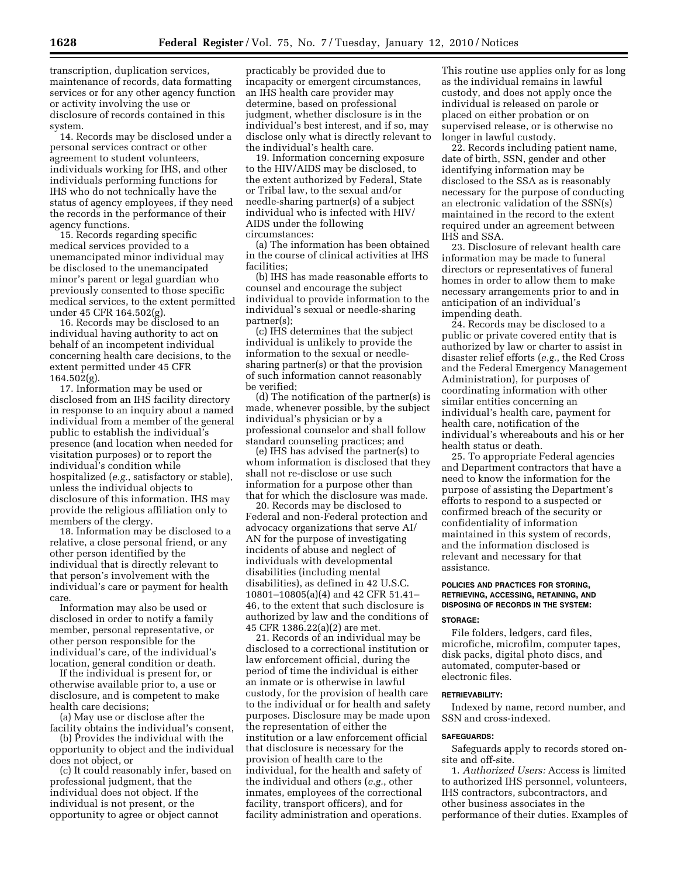transcription, duplication services, maintenance of records, data formatting services or for any other agency function or activity involving the use or disclosure of records contained in this system.

14. Records may be disclosed under a personal services contract or other agreement to student volunteers, individuals working for IHS, and other individuals performing functions for IHS who do not technically have the status of agency employees, if they need the records in the performance of their agency functions.

15. Records regarding specific medical services provided to a unemancipated minor individual may be disclosed to the unemancipated minor's parent or legal guardian who previously consented to those specific medical services, to the extent permitted under 45 CFR 164.502(g).

16. Records may be disclosed to an individual having authority to act on behalf of an incompetent individual concerning health care decisions, to the extent permitted under 45 CFR  $164.502(g)$ .

17. Information may be used or disclosed from an IHS facility directory in response to an inquiry about a named individual from a member of the general public to establish the individual's presence (and location when needed for visitation purposes) or to report the individual's condition while hospitalized (*e.g.*, satisfactory or stable), unless the individual objects to disclosure of this information. IHS may provide the religious affiliation only to members of the clergy.

18. Information may be disclosed to a relative, a close personal friend, or any other person identified by the individual that is directly relevant to that person's involvement with the individual's care or payment for health care.

Information may also be used or disclosed in order to notify a family member, personal representative, or other person responsible for the individual's care, of the individual's location, general condition or death.

If the individual is present for, or otherwise available prior to, a use or disclosure, and is competent to make health care decisions;

(a) May use or disclose after the facility obtains the individual's consent,

(b) Provides the individual with the opportunity to object and the individual does not object, or

(c) It could reasonably infer, based on professional judgment, that the individual does not object. If the individual is not present, or the opportunity to agree or object cannot

practicably be provided due to incapacity or emergent circumstances, an IHS health care provider may determine, based on professional judgment, whether disclosure is in the individual's best interest, and if so, may disclose only what is directly relevant to the individual's health care.

19. Information concerning exposure to the HIV/AIDS may be disclosed, to the extent authorized by Federal, State or Tribal law, to the sexual and/or needle-sharing partner(s) of a subject individual who is infected with HIV/ AIDS under the following circumstances:

(a) The information has been obtained in the course of clinical activities at IHS facilities;

(b) IHS has made reasonable efforts to counsel and encourage the subject individual to provide information to the individual's sexual or needle-sharing partner(s);

(c) IHS determines that the subject individual is unlikely to provide the information to the sexual or needlesharing partner(s) or that the provision of such information cannot reasonably be verified;

(d) The notification of the partner(s) is made, whenever possible, by the subject individual's physician or by a professional counselor and shall follow standard counseling practices; and

(e) IHS has advised the partner(s) to whom information is disclosed that they shall not re-disclose or use such information for a purpose other than that for which the disclosure was made.

20. Records may be disclosed to Federal and non-Federal protection and advocacy organizations that serve AI/ AN for the purpose of investigating incidents of abuse and neglect of individuals with developmental disabilities (including mental disabilities), as defined in 42 U.S.C. 10801–10805(a)(4) and 42 CFR 51.41– 46, to the extent that such disclosure is authorized by law and the conditions of 45 CFR 1386.22(a)(2) are met.

21. Records of an individual may be disclosed to a correctional institution or law enforcement official, during the period of time the individual is either an inmate or is otherwise in lawful custody, for the provision of health care to the individual or for health and safety purposes. Disclosure may be made upon the representation of either the institution or a law enforcement official that disclosure is necessary for the provision of health care to the individual, for the health and safety of the individual and others (*e.g.*, other inmates, employees of the correctional facility, transport officers), and for facility administration and operations.

This routine use applies only for as long as the individual remains in lawful custody, and does not apply once the individual is released on parole or placed on either probation or on supervised release, or is otherwise no longer in lawful custody.

22. Records including patient name, date of birth, SSN, gender and other identifying information may be disclosed to the SSA as is reasonably necessary for the purpose of conducting an electronic validation of the SSN(s) maintained in the record to the extent required under an agreement between IHS and SSA.

23. Disclosure of relevant health care information may be made to funeral directors or representatives of funeral homes in order to allow them to make necessary arrangements prior to and in anticipation of an individual's impending death.

24. Records may be disclosed to a public or private covered entity that is authorized by law or charter to assist in disaster relief efforts (*e.g.*, the Red Cross and the Federal Emergency Management Administration), for purposes of coordinating information with other similar entities concerning an individual's health care, payment for health care, notification of the individual's whereabouts and his or her health status or death.

25. To appropriate Federal agencies and Department contractors that have a need to know the information for the purpose of assisting the Department's efforts to respond to a suspected or confirmed breach of the security or confidentiality of information maintained in this system of records, and the information disclosed is relevant and necessary for that assistance.

# **POLICIES AND PRACTICES FOR STORING, RETRIEVING, ACCESSING, RETAINING, AND DISPOSING OF RECORDS IN THE SYSTEM:**

## **STORAGE:**

File folders, ledgers, card files, microfiche, microfilm, computer tapes, disk packs, digital photo discs, and automated, computer-based or electronic files.

### **RETRIEVABILITY:**

Indexed by name, record number, and SSN and cross-indexed.

#### **SAFEGUARDS:**

Safeguards apply to records stored onsite and off-site.

1. *Authorized Users:* Access is limited to authorized IHS personnel, volunteers, IHS contractors, subcontractors, and other business associates in the performance of their duties. Examples of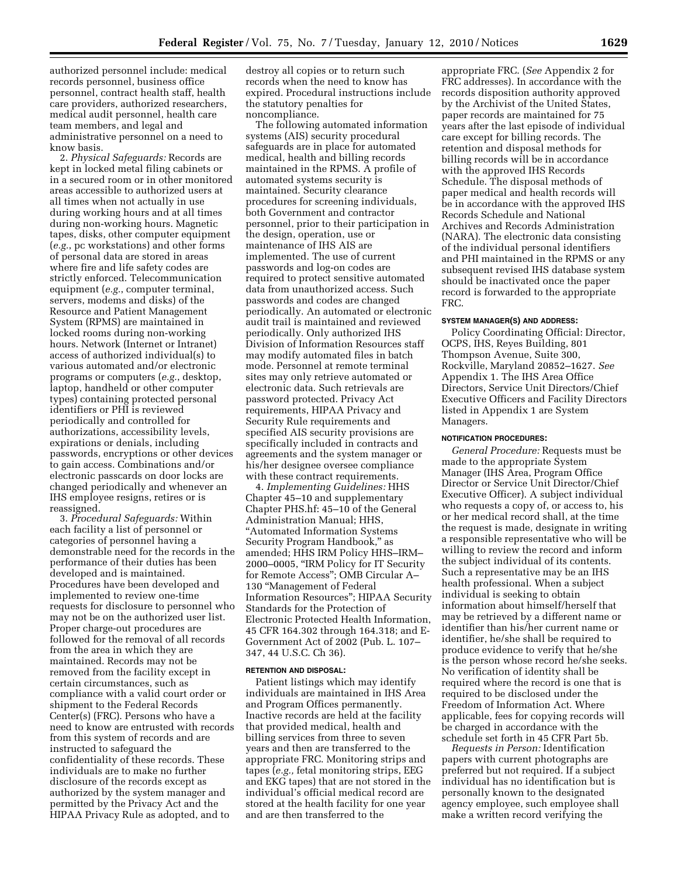authorized personnel include: medical records personnel, business office personnel, contract health staff, health care providers, authorized researchers, medical audit personnel, health care team members, and legal and administrative personnel on a need to know basis.

2. *Physical Safeguards:* Records are kept in locked metal filing cabinets or in a secured room or in other monitored areas accessible to authorized users at all times when not actually in use during working hours and at all times during non-working hours. Magnetic tapes, disks, other computer equipment (*e.g.*, pc workstations) and other forms of personal data are stored in areas where fire and life safety codes are strictly enforced. Telecommunication equipment (*e.g.*, computer terminal, servers, modems and disks) of the Resource and Patient Management System (RPMS) are maintained in locked rooms during non-working hours. Network (Internet or Intranet) access of authorized individual(s) to various automated and/or electronic programs or computers (*e.g.*, desktop, laptop, handheld or other computer types) containing protected personal identifiers or PHI is reviewed periodically and controlled for authorizations, accessibility levels, expirations or denials, including passwords, encryptions or other devices to gain access. Combinations and/or electronic passcards on door locks are changed periodically and whenever an IHS employee resigns, retires or is reassigned.

3. *Procedural Safeguards:* Within each facility a list of personnel or categories of personnel having a demonstrable need for the records in the performance of their duties has been developed and is maintained. Procedures have been developed and implemented to review one-time requests for disclosure to personnel who may not be on the authorized user list. Proper charge-out procedures are followed for the removal of all records from the area in which they are maintained. Records may not be removed from the facility except in certain circumstances, such as compliance with a valid court order or shipment to the Federal Records Center(s) (FRC). Persons who have a need to know are entrusted with records from this system of records and are instructed to safeguard the confidentiality of these records. These individuals are to make no further disclosure of the records except as authorized by the system manager and permitted by the Privacy Act and the HIPAA Privacy Rule as adopted, and to

destroy all copies or to return such records when the need to know has expired. Procedural instructions include the statutory penalties for noncompliance.

The following automated information systems (AIS) security procedural safeguards are in place for automated medical, health and billing records maintained in the RPMS. A profile of automated systems security is maintained. Security clearance procedures for screening individuals, both Government and contractor personnel, prior to their participation in the design, operation, use or maintenance of IHS AIS are implemented. The use of current passwords and log-on codes are required to protect sensitive automated data from unauthorized access. Such passwords and codes are changed periodically. An automated or electronic audit trail is maintained and reviewed periodically. Only authorized IHS Division of Information Resources staff may modify automated files in batch mode. Personnel at remote terminal sites may only retrieve automated or electronic data. Such retrievals are password protected. Privacy Act requirements, HIPAA Privacy and Security Rule requirements and specified AIS security provisions are specifically included in contracts and agreements and the system manager or his/her designee oversee compliance with these contract requirements.

4. *Implementing Guidelines:* HHS Chapter 45–10 and supplementary Chapter PHS.hf: 45–10 of the General Administration Manual; HHS, ''Automated Information Systems Security Program Handbook,'' as amended; HHS IRM Policy HHS–IRM– 2000–0005, ''IRM Policy for IT Security for Remote Access''; OMB Circular A– 130 ''Management of Federal Information Resources''; HIPAA Security Standards for the Protection of Electronic Protected Health Information, 45 CFR 164.302 through 164.318; and E-Government Act of 2002 (Pub. L. 107– 347, 44 U.S.C. Ch 36).

### **RETENTION AND DISPOSAL:**

Patient listings which may identify individuals are maintained in IHS Area and Program Offices permanently. Inactive records are held at the facility that provided medical, health and billing services from three to seven years and then are transferred to the appropriate FRC. Monitoring strips and tapes (*e.g.,* fetal monitoring strips, EEG and EKG tapes) that are not stored in the individual's official medical record are stored at the health facility for one year and are then transferred to the

appropriate FRC. (*See* Appendix 2 for FRC addresses). In accordance with the records disposition authority approved by the Archivist of the United States, paper records are maintained for 75 years after the last episode of individual care except for billing records. The retention and disposal methods for billing records will be in accordance with the approved IHS Records Schedule. The disposal methods of paper medical and health records will be in accordance with the approved IHS Records Schedule and National Archives and Records Administration (NARA). The electronic data consisting of the individual personal identifiers and PHI maintained in the RPMS or any subsequent revised IHS database system should be inactivated once the paper record is forwarded to the appropriate FRC.

### **SYSTEM MANAGER(S) AND ADDRESS:**

Policy Coordinating Official: Director, OCPS, IHS, Reyes Building, 801 Thompson Avenue, Suite 300, Rockville, Maryland 20852–1627. *See*  Appendix 1. The IHS Area Office Directors, Service Unit Directors/Chief Executive Officers and Facility Directors listed in Appendix 1 are System Managers.

### **NOTIFICATION PROCEDURES:**

*General Procedure:* Requests must be made to the appropriate System Manager (IHS Area, Program Office Director or Service Unit Director/Chief Executive Officer). A subject individual who requests a copy of, or access to, his or her medical record shall, at the time the request is made, designate in writing a responsible representative who will be willing to review the record and inform the subject individual of its contents. Such a representative may be an IHS health professional. When a subject individual is seeking to obtain information about himself/herself that may be retrieved by a different name or identifier than his/her current name or identifier, he/she shall be required to produce evidence to verify that he/she is the person whose record he/she seeks. No verification of identity shall be required where the record is one that is required to be disclosed under the Freedom of Information Act. Where applicable, fees for copying records will be charged in accordance with the schedule set forth in 45 CFR Part 5b.

*Requests in Person:* Identification papers with current photographs are preferred but not required. If a subject individual has no identification but is personally known to the designated agency employee, such employee shall make a written record verifying the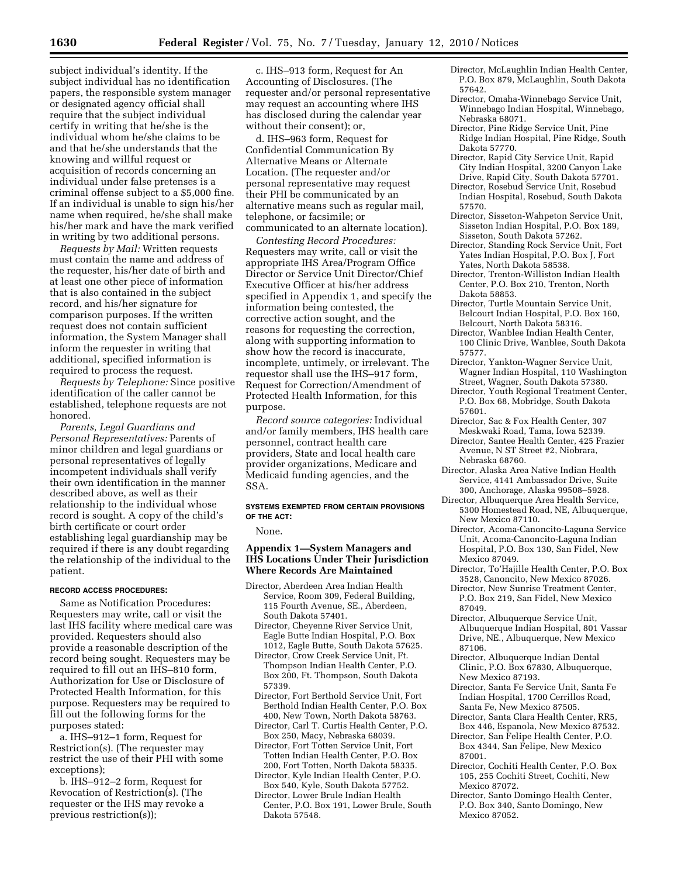subject individual's identity. If the subject individual has no identification papers, the responsible system manager or designated agency official shall require that the subject individual certify in writing that he/she is the individual whom he/she claims to be and that he/she understands that the knowing and willful request or acquisition of records concerning an individual under false pretenses is a criminal offense subject to a \$5,000 fine. If an individual is unable to sign his/her name when required, he/she shall make his/her mark and have the mark verified in writing by two additional persons.

*Requests by Mail:* Written requests must contain the name and address of the requester, his/her date of birth and at least one other piece of information that is also contained in the subject record, and his/her signature for comparison purposes. If the written request does not contain sufficient information, the System Manager shall inform the requester in writing that additional, specified information is required to process the request.

*Requests by Telephone:* Since positive identification of the caller cannot be established, telephone requests are not honored.

*Parents, Legal Guardians and Personal Representatives:* Parents of minor children and legal guardians or personal representatives of legally incompetent individuals shall verify their own identification in the manner described above, as well as their relationship to the individual whose record is sought. A copy of the child's birth certificate or court order establishing legal guardianship may be required if there is any doubt regarding the relationship of the individual to the patient.

#### **RECORD ACCESS PROCEDURES:**

Same as Notification Procedures: Requesters may write, call or visit the last IHS facility where medical care was provided. Requesters should also provide a reasonable description of the record being sought. Requesters may be required to fill out an IHS–810 form, Authorization for Use or Disclosure of Protected Health Information, for this purpose. Requesters may be required to fill out the following forms for the purposes stated:

a. IHS–912–1 form, Request for Restriction(s). (The requester may restrict the use of their PHI with some exceptions);

b. IHS–912–2 form, Request for Revocation of Restriction(s). (The requester or the IHS may revoke a previous restriction(s));

c. IHS–913 form, Request for An Accounting of Disclosures. (The requester and/or personal representative may request an accounting where IHS has disclosed during the calendar year without their consent); or,

d. IHS–963 form, Request for Confidential Communication By Alternative Means or Alternate Location. (The requester and/or personal representative may request their PHI be communicated by an alternative means such as regular mail, telephone, or facsimile; or communicated to an alternate location).

*Contesting Record Procedures:*  Requesters may write, call or visit the appropriate IHS Area/Program Office Director or Service Unit Director/Chief Executive Officer at his/her address specified in Appendix 1, and specify the information being contested, the corrective action sought, and the reasons for requesting the correction, along with supporting information to show how the record is inaccurate, incomplete, untimely, or irrelevant. The requestor shall use the IHS–917 form, Request for Correction/Amendment of Protected Health Information, for this purpose.

*Record source categories:* Individual and/or family members, IHS health care personnel, contract health care providers, State and local health care provider organizations, Medicare and Medicaid funding agencies, and the SSA.

## **SYSTEMS EXEMPTED FROM CERTAIN PROVISIONS OF THE ACT:**

None.

## **Appendix 1—System Managers and IHS Locations Under Their Jurisdiction Where Records Are Maintained**

- Director, Aberdeen Area Indian Health Service, Room 309, Federal Building, 115 Fourth Avenue, SE., Aberdeen, South Dakota 57401.
	- Director, Cheyenne River Service Unit, Eagle Butte Indian Hospital, P.O. Box 1012, Eagle Butte, South Dakota 57625.
	- Director, Crow Creek Service Unit, Ft. Thompson Indian Health Center, P.O. Box 200, Ft. Thompson, South Dakota 57339.
	- Director, Fort Berthold Service Unit, Fort Berthold Indian Health Center, P.O. Box 400, New Town, North Dakota 58763.
- Director, Carl T. Curtis Health Center, P.O. Box 250, Macy, Nebraska 68039.
- Director, Fort Totten Service Unit, Fort Totten Indian Health Center, P.O. Box 200, Fort Totten, North Dakota 58335.
- Director, Kyle Indian Health Center, P.O. Box 540, Kyle, South Dakota 57752.
- Director, Lower Brule Indian Health Center, P.O. Box 191, Lower Brule, South Dakota 57548.
- Director, McLaughlin Indian Health Center, P.O. Box 879, McLaughlin, South Dakota 57642.
- Director, Omaha-Winnebago Service Unit, Winnebago Indian Hospital, Winnebago, Nebraska 68071.
- Director, Pine Ridge Service Unit, Pine Ridge Indian Hospital, Pine Ridge, South Dakota 57770.
- Director, Rapid City Service Unit, Rapid City Indian Hospital, 3200 Canyon Lake Drive, Rapid City, South Dakota 57701.
- Director, Rosebud Service Unit, Rosebud Indian Hospital, Rosebud, South Dakota 57570.
- Director, Sisseton-Wahpeton Service Unit, Sisseton Indian Hospital, P.O. Box 189, Sisseton, South Dakota 57262.
- Director, Standing Rock Service Unit, Fort Yates Indian Hospital, P.O. Box J, Fort Yates, North Dakota 58538.
- Director, Trenton-Williston Indian Health Center, P.O. Box 210, Trenton, North Dakota 58853.
- Director, Turtle Mountain Service Unit, Belcourt Indian Hospital, P.O. Box 160, Belcourt, North Dakota 58316.
- Director, Wanblee Indian Health Center, 100 Clinic Drive, Wanblee, South Dakota 57577.
- Director, Yankton-Wagner Service Unit, Wagner Indian Hospital, 110 Washington Street, Wagner, South Dakota 57380.
- Director, Youth Regional Treatment Center, P.O. Box 68, Mobridge, South Dakota 57601.
- Director, Sac & Fox Health Center, 307
- Meskwaki Road, Tama, Iowa 52339. Director, Santee Health Center, 425 Frazier Avenue, N ST Street #2, Niobrara, Nebraska 68760.
- Director, Alaska Area Native Indian Health Service, 4141 Ambassador Drive, Suite 300, Anchorage, Alaska 99508–5928.
- Director, Albuquerque Area Health Service, 5300 Homestead Road, NE, Albuquerque, New Mexico 87110.
	- Director, Acoma-Canoncito-Laguna Service Unit, Acoma-Canoncito-Laguna Indian Hospital, P.O. Box 130, San Fidel, New Mexico 87049.
	- Director, To'Hajille Health Center, P.O. Box 3528, Canoncito, New Mexico 87026.
	- Director, New Sunrise Treatment Center P.O. Box 219, San Fidel, New Mexico 87049.
	- Director, Albuquerque Service Unit, Albuquerque Indian Hospital, 801 Vassar Drive, NE., Albuquerque, New Mexico 87106.
	- Director, Albuquerque Indian Dental Clinic, P.O. Box 67830, Albuquerque, New Mexico 87193.
	- Director, Santa Fe Service Unit, Santa Fe Indian Hospital, 1700 Cerrillos Road, Santa Fe, New Mexico 87505.
	- Director, Santa Clara Health Center, RR5, Box 446, Espanola, New Mexico 87532.
	- Director, San Felipe Health Center, P.O. Box 4344, San Felipe, New Mexico 87001.
	- Director, Cochiti Health Center, P.O. Box 105, 255 Cochiti Street, Cochiti, New Mexico 87072.
	- Director, Santo Domingo Health Center, P.O. Box 340, Santo Domingo, New Mexico 87052.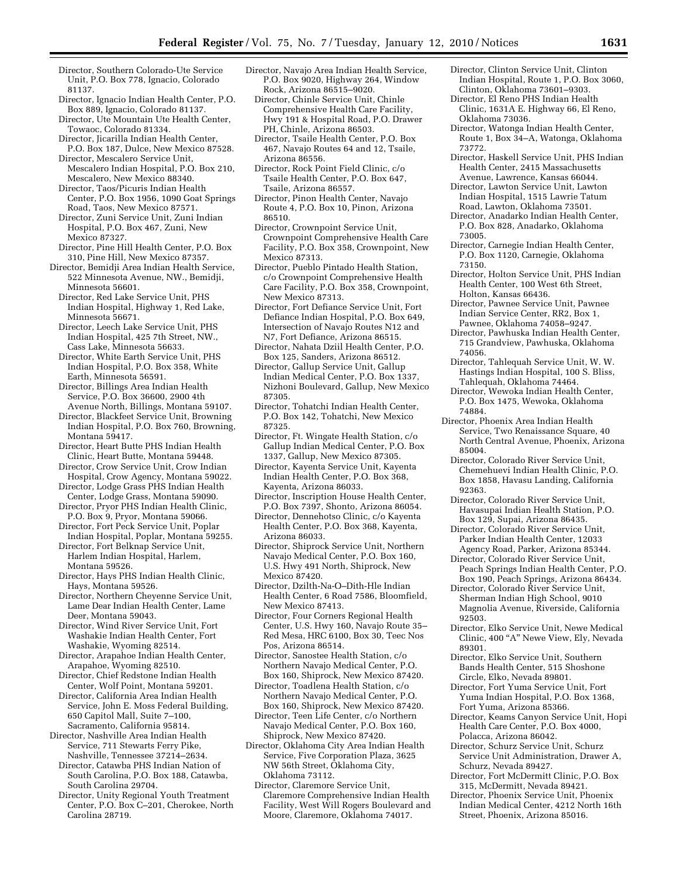- Director, Southern Colorado-Ute Service Unit, P.O. Box 778, Ignacio, Colorado 81137.
- Director, Ignacio Indian Health Center, P.O. Box 889, Ignacio, Colorado 81137.
- Director, Ute Mountain Ute Health Center, Towaoc, Colorado 81334.
- Director, Jicarilla Indian Health Center, P.O. Box 187, Dulce, New Mexico 87528.
- Director, Mescalero Service Unit, Mescalero Indian Hospital, P.O. Box 210, Mescalero, New Mexico 88340.
- Director, Taos/Picuris Indian Health Center, P.O. Box 1956, 1090 Goat Springs Road, Taos, New Mexico 87571.
- Director, Zuni Service Unit, Zuni Indian Hospital, P.O. Box 467, Zuni, New Mexico 87327.
- Director, Pine Hill Health Center, P.O. Box 310, Pine Hill, New Mexico 87357.
- Director, Bemidji Area Indian Health Service, 522 Minnesota Avenue, NW., Bemidji, Minnesota 56601.
	- Director, Red Lake Service Unit, PHS Indian Hospital, Highway 1, Red Lake, Minnesota 56671.
	- Director, Leech Lake Service Unit, PHS Indian Hospital, 425 7th Street, NW., Cass Lake, Minnesota 56633.
	- Director, White Earth Service Unit, PHS Indian Hospital, P.O. Box 358, White Earth, Minnesota 56591.
	- Director, Billings Area Indian Health Service, P.O. Box 36600, 2900 4th Avenue North, Billings, Montana 59107.
	- Director, Blackfeet Service Unit, Browning Indian Hospital, P.O. Box 760, Browning, Montana 59417.
	- Director, Heart Butte PHS Indian Health
	- Clinic, Heart Butte, Montana 59448. Director, Crow Service Unit, Crow Indian
	- Hospital, Crow Agency, Montana 59022. Director, Lodge Grass PHS Indian Health
	- Center, Lodge Grass, Montana 59090. Director, Pryor PHS Indian Health Clinic,
	- P.O. Box 9, Pryor, Montana 59066. Director, Fort Peck Service Unit, Poplar Indian Hospital, Poplar, Montana 59255.
	- Director, Fort Belknap Service Unit, Harlem Indian Hospital, Harlem,
	- Montana 59526. Director, Hays PHS Indian Health Clinic, Hays, Montana 59526.
	- Director, Northern Cheyenne Service Unit, Lame Dear Indian Health Center, Lame Deer, Montana 59043.
	- Director, Wind River Service Unit, Fort Washakie Indian Health Center, Fort Washakie, Wyoming 82514.
	- Director, Arapahoe Indian Health Center, Arapahoe, Wyoming 82510.
	- Director, Chief Redstone Indian Health Center, Wolf Point, Montana 59201.
	- Director, California Area Indian Health Service, John E. Moss Federal Building, 650 Capitol Mall, Suite 7–100, Sacramento, California 95814.
- Director, Nashville Area Indian Health Service, 711 Stewarts Ferry Pike, Nashville, Tennessee 37214–2634.
	- Director, Catawba PHS Indian Nation of South Carolina, P.O. Box 188, Catawba, South Carolina 29704.
	- Director, Unity Regional Youth Treatment Center, P.O. Box C–201, Cherokee, North Carolina 28719.
- Director, Navajo Area Indian Health Service, P.O. Box 9020, Highway 264, Window Rock, Arizona 86515–9020.
	- Director, Chinle Service Unit, Chinle Comprehensive Health Care Facility, Hwy 191 & Hospital Road, P.O. Drawer PH, Chinle, Arizona 86503.
	- Director, Tsaile Health Center, P.O. Box 467, Navajo Routes 64 and 12, Tsaile, Arizona 86556.
	- Director, Rock Point Field Clinic, c/o Tsaile Health Center, P.O. Box 647, Tsaile, Arizona 86557.
- Director, Pinon Health Center, Navajo Route 4, P.O. Box 10, Pinon, Arizona 86510.
- Director, Crownpoint Service Unit, Crownpoint Comprehensive Health Care Facility, P.O. Box 358, Crownpoint, New Mexico 87313.
- Director, Pueblo Pintado Health Station, c/o Crownpoint Comprehensive Health Care Facility, P.O. Box 358, Crownpoint, New Mexico 87313.
- Director, Fort Defiance Service Unit, Fort Defiance Indian Hospital, P.O. Box 649, Intersection of Navajo Routes N12 and N7, Fort Defiance, Arizona 86515.
- Director, Nahata Dziil Health Center, P.O. Box 125, Sanders, Arizona 86512.
- Director, Gallup Service Unit, Gallup Indian Medical Center, P.O. Box 1337, Nizhoni Boulevard, Gallup, New Mexico 87305.
- Director, Tohatchi Indian Health Center, P.O. Box 142, Tohatchi, New Mexico 87325.
- Director, Ft. Wingate Health Station, c/o Gallup Indian Medical Center, P.O. Box 1337, Gallup, New Mexico 87305.
- Director, Kayenta Service Unit, Kayenta Indian Health Center, P.O. Box 368, Kayenta, Arizona 86033.
- Director, Inscription House Health Center, P.O. Box 7397, Shonto, Arizona 86054.
- Director, Dennehotso Clinic, c/o Kayenta Health Center, P.O. Box 368, Kayenta, Arizona 86033.
- Director, Shiprock Service Unit, Northern Navajo Medical Center, P.O. Box 160, U.S. Hwy 491 North, Shiprock, New Mexico 87420.
- Director, Dzilth-Na-O–Dith-Hle Indian Health Center, 6 Road 7586, Bloomfield, New Mexico 87413.
- Director, Four Corners Regional Health Center, U.S. Hwy 160, Navajo Route 35– Red Mesa, HRC 6100, Box 30, Teec Nos Pos, Arizona 86514.
- Director, Sanostee Health Station, c/o Northern Navajo Medical Center, P.O. Box 160, Shiprock, New Mexico 87420.
- Director, Toadlena Health Station, c/o Northern Navajo Medical Center, P.O. Box 160, Shiprock, New Mexico 87420.
- Director, Teen Life Center, c/o Northern Navajo Medical Center, P.O. Box 160, Shiprock, New Mexico 87420.
- Director, Oklahoma City Area Indian Health Service, Five Corporation Plaza, 3625 NW 56th Street, Oklahoma City, Oklahoma 73112.
	- Director, Claremore Service Unit, Claremore Comprehensive Indian Health Facility, West Will Rogers Boulevard and Moore, Claremore, Oklahoma 74017.
- Director, Clinton Service Unit, Clinton Indian Hospital, Route 1, P.O. Box 3060, Clinton, Oklahoma 73601–9303.
- Director, El Reno PHS Indian Health Clinic, 1631A E. Highway 66, El Reno, Oklahoma 73036.
- Director, Watonga Indian Health Center, Route 1, Box 34–A, Watonga, Oklahoma 73772.
- Director, Haskell Service Unit, PHS Indian Health Center, 2415 Massachusetts Avenue, Lawrence, Kansas 66044.
- Director, Lawton Service Unit, Lawton Indian Hospital, 1515 Lawrie Tatum Road, Lawton, Oklahoma 73501.
- Director, Anadarko Indian Health Center, P.O. Box 828, Anadarko, Oklahoma 73005.
- Director, Carnegie Indian Health Center, P.O. Box 1120, Carnegie, Oklahoma 73150.
- Director, Holton Service Unit, PHS Indian Health Center, 100 West 6th Street, Holton, Kansas 66436.
- Director, Pawnee Service Unit, Pawnee Indian Service Center, RR2, Box 1, Pawnee, Oklahoma 74058–9247.
- Director, Pawhuska Indian Health Center, 715 Grandview, Pawhuska, Oklahoma 74056.
- Director, Tahlequah Service Unit, W. W. Hastings Indian Hospital, 100 S. Bliss, Tahlequah, Oklahoma 74464.
- Director, Wewoka Indian Health Center, P.O. Box 1475, Wewoka, Oklahoma 74884.
- Director, Phoenix Area Indian Health Service, Two Renaissance Square, 40 North Central Avenue, Phoenix, Arizona 85004.
	- Director, Colorado River Service Unit, Chemehuevi Indian Health Clinic, P.O. Box 1858, Havasu Landing, California 92363.
	- Director, Colorado River Service Unit, Havasupai Indian Health Station, P.O. Box 129, Supai, Arizona 86435.
	- Director, Colorado River Service Unit, Parker Indian Health Center, 12033 Agency Road, Parker, Arizona 85344.
	- Director, Colorado River Service Unit, Peach Springs Indian Health Center, P.O. Box 190, Peach Springs, Arizona 86434.
	- Director, Colorado River Service Unit, Sherman Indian High School, 9010 Magnolia Avenue, Riverside, California 92503.
	- Director, Elko Service Unit, Newe Medical Clinic, 400 "A" Newe View, Ely, Nevada 89301.
	- Director, Elko Service Unit, Southern Bands Health Center, 515 Shoshone Circle, Elko, Nevada 89801.
	- Director, Fort Yuma Service Unit, Fort Yuma Indian Hospital, P.O. Box 1368, Fort Yuma, Arizona 85366.
	- Director, Keams Canyon Service Unit, Hopi Health Care Center, P.O. Box 4000, Polacca, Arizona 86042.
	- Director, Schurz Service Unit, Schurz Service Unit Administration, Drawer A, Schurz, Nevada 89427.
	- Director, Fort McDermitt Clinic, P.O. Box 315, McDermitt, Nevada 89421.
	- Director, Phoenix Service Unit, Phoenix Indian Medical Center, 4212 North 16th Street, Phoenix, Arizona 85016.